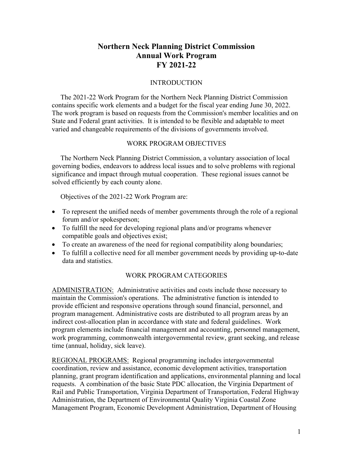# **Northern Neck Planning District Commission Annual Work Program FY 2021-22**

### INTRODUCTION

 The 2021-22 Work Program for the Northern Neck Planning District Commission contains specific work elements and a budget for the fiscal year ending June 30, 2022. The work program is based on requests from the Commission's member localities and on State and Federal grant activities. It is intended to be flexible and adaptable to meet varied and changeable requirements of the divisions of governments involved.

### WORK PROGRAM OBJECTIVES

 The Northern Neck Planning District Commission, a voluntary association of local governing bodies, endeavors to address local issues and to solve problems with regional significance and impact through mutual cooperation. These regional issues cannot be solved efficiently by each county alone.

Objectives of the 2021-22 Work Program are:

- To represent the unified needs of member governments through the role of a regional forum and/or spokesperson;
- To fulfill the need for developing regional plans and/or programs whenever compatible goals and objectives exist;
- To create an awareness of the need for regional compatibility along boundaries;
- To fulfill a collective need for all member government needs by providing up-to-date data and statistics.

### WORK PROGRAM CATEGORIES

ADMINISTRATION: Administrative activities and costs include those necessary to maintain the Commission's operations. The administrative function is intended to provide efficient and responsive operations through sound financial, personnel, and program management. Administrative costs are distributed to all program areas by an indirect cost-allocation plan in accordance with state and federal guidelines. Work program elements include financial management and accounting, personnel management, work programming, commonwealth intergovernmental review, grant seeking, and release time (annual, holiday, sick leave).

REGIONAL PROGRAMS: Regional programming includes intergovernmental coordination, review and assistance, economic development activities, transportation planning, grant program identification and applications, environmental planning and local requests. A combination of the basic State PDC allocation, the Virginia Department of Rail and Public Transportation, Virginia Department of Transportation, Federal Highway Administration, the Department of Environmental Quality Virginia Coastal Zone Management Program, Economic Development Administration, Department of Housing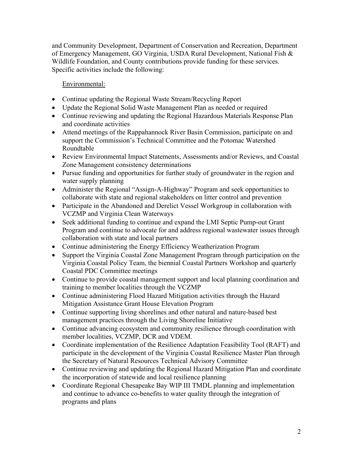and Community Development, Department of Conservation and Recreation, Department of Emergency Management, GO Virginia, USDA Rural Development, National Fish & Wildlife Foundation, and County contributions provide funding for these services. Specific activities include the following:

# Environmental:

- Continue updating the Regional Waste Stream/Recycling Report
- Update the Regional Solid Waste Management Plan as needed or required
- Continue reviewing and updating the Regional Hazardous Materials Response Plan and coordinate activities
- Attend meetings of the Rappahannock River Basin Commission, participate on and support the Commission's Technical Committee and the Potomac Watershed Roundtable
- Review Environmental Impact Statements, Assessments and/or Reviews, and Coastal Zone Management consistency determinations
- Pursue funding and opportunities for further study of groundwater in the region and water supply planning
- Administer the Regional "Assign-A-Highway" Program and seek opportunities to collaborate with state and regional stakeholders on litter control and prevention
- Participate in the Abandoned and Derelict Vessel Workgroup in collaboration with VCZMP and Virginia Clean Waterways
- Seek additional funding to continue and expand the LMI Septic Pump-out Grant Program and continue to advocate for and address regional wastewater issues through collaboration with state and local partners
- Continue administering the Energy Efficiency Weatherization Program
- Support the Virginia Coastal Zone Management Program through participation on the Virginia Coastal Policy Team, the biennial Coastal Partners Workshop and quarterly Coastal PDC Committee meetings
- Continue to provide coastal management support and local planning coordination and training to member localities through the VCZMP
- Continue administering Flood Hazard Mitigation activities through the Hazard Mitigation Assistance Grant House Elevation Program
- Continue supporting living shorelines and other natural and nature-based best management practices through the Living Shoreline Initiative
- Continue advancing ecosystem and community resilience through coordination with member localities, VCZMP, DCR and VDEM.
- Coordinate implementation of the Resilience Adaptation Feasibility Tool (RAFT) and participate in the development of the Virginia Coastal Resilience Master Plan through the Secretary of Natural Resources Technical Advisory Committee
- Continue reviewing and updating the Regional Hazard Mitigation Plan and coordinate the incorporation of statewide and local resilience planning
- Coordinate Regional Chesapeake Bay WIP III TMDL planning and implementation and continue to advance co-benefits to water quality through the integration of programs and plans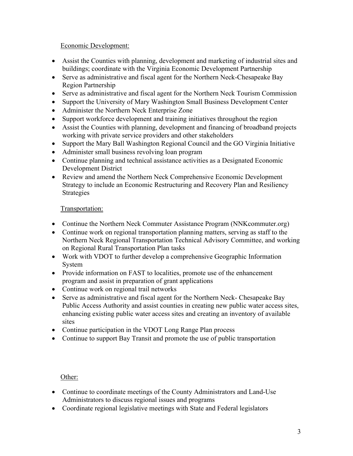## Economic Development:

- Assist the Counties with planning, development and marketing of industrial sites and buildings; coordinate with the Virginia Economic Development Partnership
- Serve as administrative and fiscal agent for the Northern Neck-Chesapeake Bay Region Partnership
- Serve as administrative and fiscal agent for the Northern Neck Tourism Commission
- Support the University of Mary Washington Small Business Development Center
- Administer the Northern Neck Enterprise Zone
- Support workforce development and training initiatives throughout the region
- Assist the Counties with planning, development and financing of broadband projects working with private service providers and other stakeholders
- Support the Mary Ball Washington Regional Council and the GO Virginia Initiative
- Administer small business revolving loan program
- Continue planning and technical assistance activities as a Designated Economic Development District
- Review and amend the Northern Neck Comprehensive Economic Development Strategy to include an Economic Restructuring and Recovery Plan and Resiliency Strategies

# Transportation:

- Continue the Northern Neck Commuter Assistance Program (NNK commuter.org)
- Continue work on regional transportation planning matters, serving as staff to the Northern Neck Regional Transportation Technical Advisory Committee, and working on Regional Rural Transportation Plan tasks
- Work with VDOT to further develop a comprehensive Geographic Information System
- Provide information on FAST to localities, promote use of the enhancement program and assist in preparation of grant applications
- Continue work on regional trail networks
- Serve as administrative and fiscal agent for the Northern Neck- Chesapeake Bay Public Access Authority and assist counties in creating new public water access sites, enhancing existing public water access sites and creating an inventory of available sites
- Continue participation in the VDOT Long Range Plan process
- Continue to support Bay Transit and promote the use of public transportation

Other:

- Continue to coordinate meetings of the County Administrators and Land-Use Administrators to discuss regional issues and programs
- Coordinate regional legislative meetings with State and Federal legislators